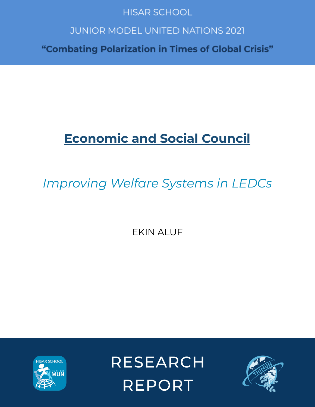## **HISAR SCHOOL**

## **JUNIOR MODEL UNITED NATIONS 2021**

"Combating Polarization in Times of Global Crisis"

# **Economic and Social Council**

# *Improving Welfare Systems in LEDCs*

EKIN ALUF



**RESEARCH REPORT** 

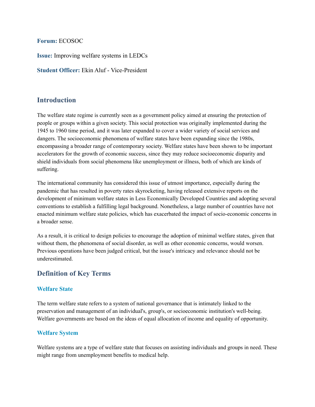#### **Forum:** ECOSOC

**Issue:** Improving welfare systems in LEDCs

**Student Officer:** Ekin Aluf - Vice-President

## **Introduction**

The welfare state regime is currently seen as a government policy aimed at ensuring the protection of people or groups within a given society. This social protection was originally implemented during the 1945 to 1960 time period, and it was later expanded to cover a wider variety of social services and dangers. The socioeconomic phenomena of welfare states have been expanding since the 1980s, encompassing a broader range of contemporary society. Welfare states have been shown to be important accelerators for the growth of economic success, since they may reduce socioeconomic disparity and shield individuals from social phenomena like unemployment or illness, both of which are kinds of suffering.

The international community has considered this issue of utmost importance, especially during the pandemic that has resulted in poverty rates skyrocketing, having released extensive reports on the development of minimum welfare states in Less Economically Developed Countries and adopting several conventions to establish a fulfilling legal background. Nonetheless, a large number of countries have not enacted minimum welfare state policies, which has exacerbated the impact of socio-economic concerns in a broader sense.

As a result, it is critical to design policies to encourage the adoption of minimal welfare states, given that without them, the phenomena of social disorder, as well as other economic concerns, would worsen. Previous operations have been judged critical, but the issue's intricacy and relevance should not be underestimated.

## **Definition of Key Terms**

#### **Welfare State**

The term welfare state refers to a system of national governance that is intimately linked to the preservation and management of an individual's, group's, or socioeconomic institution's well-being. Welfare governments are based on the ideas of equal allocation of income and equality of opportunity.

#### **Welfare System**

Welfare systems are a type of welfare state that focuses on assisting individuals and groups in need. These might range from unemployment benefits to medical help.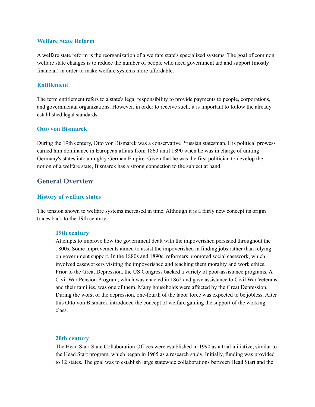#### **Welfare State Reform**

A welfare state reform is the reorganization of a welfare state's specialized systems. The goal of common welfare state changes is to reduce the number of people who need government aid and support (mostly financial) in order to make welfare systems more affordable.

#### **Entitlement**

The term entitlement refers to a state's legal responsibility to provide payments to people, corporations, and governmental organizations. However, in order to receive such, it is important to follow the already established legal standards.

#### **Otto von Bismarck**

During the 19th century, Otto von Bismarck was a conservative Prussian statesman. His political prowess earned him dominance in European affairs from 1860 until 1890 when he was in charge of uniting Germany's states into a mighty German Empire. Given that he was the first politician to develop the notion of a welfare state, Bismarck has a strong connection to the subject at hand.

## **General Overview**

#### **History of welfare states**

The tension shown to welfare systems increased in time. Although it is a fairly new concept its origin traces back to the 19th century.

#### **19th century**

Attempts to improve how the government dealt with the impoverished persisted throughout the 1800s. Some improvements aimed to assist the impoverished in finding jobs rather than relying on government support. In the 1880s and 1890s, reformers promoted social casework, which involved caseworkers visiting the impoverished and teaching them morality and work ethics. Prior to the Great Depression, the US Congress backed a variety of poor-assistance programs. A Civil War Pension Program, which was enacted in 1862 and gave assistance to Civil War Veterans and their families, was one of them. Many households were affected by the Great Depression. During the worst of the depression, one-fourth of the labor force was expected to be jobless. After this Otto von Bismarck introduced the concept of welfare gaining the support of the working class.

#### **20th century**

The Head Start State Collaboration Offices were established in 1990 as a trial initiative, similar to the Head Start program, which began in 1965 as a research study. Initially, funding was provided to 12 states. The goal was to establish large statewide collaborations between Head Start and the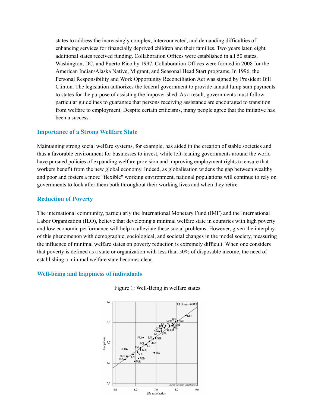states to address the increasingly complex, interconnected, and demanding difficulties of enhancing services for financially deprived children and their families. Two years later, eight additional states received funding. Collaboration Offices were established in all 50 states, Washington, DC, and Puerto Rico by 1997. Collaboration Offices were formed in 2008 for the American Indian/Alaska Native, Migrant, and Seasonal Head Start programs. In 1996, the Personal Responsibility and Work Opportunity Reconciliation Act was signed by President Bill Clinton. The legislation authorizes the federal government to provide annual lump sum payments to states for the purpose of assisting the impoverished. As a result, governments must follow particular guidelines to guarantee that persons receiving assistance are encouraged to transition from welfare to employment. Despite certain criticisms, many people agree that the initiative has been a success.

#### **Importance of a Strong Wellfare State**

Maintaining strong social welfare systems, for example, has aided in the creation of stable societies and thus a favorable environment for businesses to invest, while left-leaning governments around the world have pursued policies of expanding welfare provision and improving employment rights to ensure that workers benefit from the new global economy. Indeed, as globalisation widens the gap between wealthy and poor and fosters a more "flexible" working environment, national populations will continue to rely on governments to look after them both throughout their working lives and when they retire.

#### **Reduction of Poverty**

The international community, particularly the International Monetary Fund (IMF) and the International Labor Organization (ILO), believe that developing a minimal welfare state in countries with high poverty and low economic performance will help to alleviate these social problems. However, given the interplay of this phenomenon with demographic, sociological, and societal changes in the model society, measuring the influence of minimal welfare states on poverty reduction is extremely difficult. When one considers that poverty is defined as a state or organization with less than 50% of disposable income, the need of establishing a minimal welfare state becomes clear.

#### **Well-being and happiness of individuals**



Figure 1: Well-Being in welfare states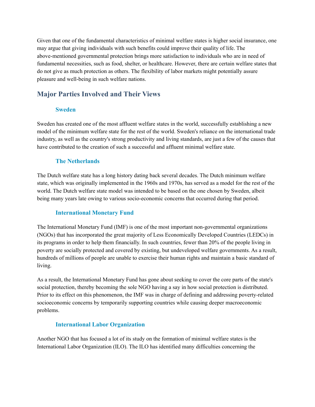Given that one of the fundamental characteristics of minimal welfare states is higher social insurance, one may argue that giving individuals with such benefits could improve their quality of life. The above-mentioned governmental protection brings more satisfaction to individuals who are in need of fundamental necessities, such as food, shelter, or healthcare. However, there are certain welfare states that do not give as much protection as others. The flexibility of labor markets might potentially assure pleasure and well-being in such welfare nations.

## **Major Parties Involved and Their Views**

#### **Sweden**

Sweden has created one of the most affluent welfare states in the world, successfully establishing a new model of the minimum welfare state for the rest of the world. Sweden's reliance on the international trade industry, as well as the country's strong productivity and living standards, are just a few of the causes that have contributed to the creation of such a successful and affluent minimal welfare state.

#### **The Netherlands**

The Dutch welfare state has a long history dating back several decades. The Dutch minimum welfare state, which was originally implemented in the 1960s and 1970s, has served as a model for the rest of the world. The Dutch welfare state model was intended to be based on the one chosen by Sweden, albeit being many years late owing to various socio-economic concerns that occurred during that period.

#### **International Monetary Fund**

The International Monetary Fund (IMF) is one of the most important non-governmental organizations (NGOs) that has incorporated the great majority of Less Economically Developed Countries (LEDCs) in its programs in order to help them financially. In such countries, fewer than 20% of the people living in poverty are socially protected and covered by existing, but undeveloped welfare governments. As a result, hundreds of millions of people are unable to exercise their human rights and maintain a basic standard of living.

As a result, the International Monetary Fund has gone about seeking to cover the core parts of the state's social protection, thereby becoming the sole NGO having a say in how social protection is distributed. Prior to its effect on this phenomenon, the IMF was in charge of defining and addressing poverty-related socioeconomic concerns by temporarily supporting countries while causing deeper macroeconomic problems.

#### **International Labor Organization**

Another NGO that has focused a lot of its study on the formation of minimal welfare states is the International Labor Organization (ILO). The ILO has identified many difficulties concerning the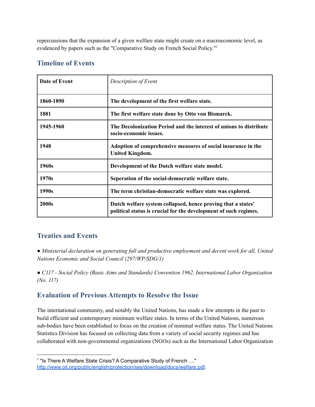repercussions that the expansion of a given welfare state might create on a macroeconomic level, as evidenced by papers such as the "Comparative Study on French Social Policy."<sup>1</sup>

## **Timeline of Events**

| Date of Event | Description of Event                                                                                                             |
|---------------|----------------------------------------------------------------------------------------------------------------------------------|
| 1860-1890     | The development of the first welfare state.                                                                                      |
| 1881          | The first welfare state done by Otto von Bismarck.                                                                               |
| 1945-1960     | The Decolonization Period and the interest of unions to distribute<br>socio-economic issues.                                     |
| 1948          | Adoption of comprehensive measures of social insurance in the<br><b>United Kingdom.</b>                                          |
| 1960s         | Development of the Dutch welfare state model.                                                                                    |
| 1970s         | Seperation of the social-democratic welfare state.                                                                               |
| 1990s         | The term christian-democratic welfare state was explored.                                                                        |
| 2000s         | Dutch welfare system collapsed, hence proving that a states'<br>political status is crucial for the development of such regimes. |

## **Treaties and Events**

*● Ministerial declaration on generating full and productive employment and decent work for all, United Nations Economic and Social Council (297/WP/SDG/1)*

*● C117 - Social Policy (Basic Aims and Standards) Convention 1962, International Labor Organization (No. 117)*

## **Evaluation of Previous Attempts to Resolve the Issue**

The international community, and notably the United Nations, has made a few attempts in the past to build efficient and contemporary minimum welfare states. In terms of the United Nations, numerous sub-bodies have been established to focus on the creation of minimal welfare states. The United Nations Statistics Division has focused on collecting data from a variety of social security regimes and has collaborated with non-governmental organizations (NGOs) such as the International Labor Organization

<sup>&</sup>lt;sup>1</sup> "Is There A Welfare State Crisis? A Comparative Study of French ...." <http://www.oit.org/public/english/protection/ses/download/docs/welfare.pdf>.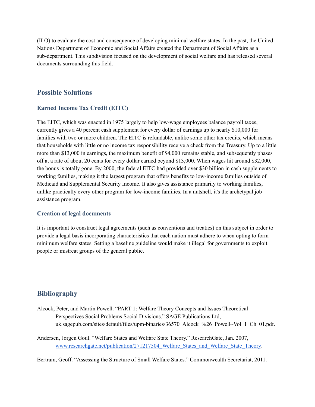(ILO) to evaluate the cost and consequence of developing minimal welfare states. In the past, the United Nations Department of Economic and Social Affairs created the Department of Social Affairs as a sub-department. This subdivision focused on the development of social welfare and has released several documents surrounding this field.

#### **Possible Solutions**

#### **Earned Income Tax Credit (EITC)**

The EITC, which was enacted in 1975 largely to help low-wage employees balance payroll taxes, currently gives a 40 percent cash supplement for every dollar of earnings up to nearly \$10,000 for families with two or more children. The EITC is refundable, unlike some other tax credits, which means that households with little or no income tax responsibility receive a check from the Treasury. Up to a little more than \$13,000 in earnings, the maximum benefit of \$4,000 remains stable, and subsequently phases off at a rate of about 20 cents for every dollar earned beyond \$13,000. When wages hit around \$32,000, the bonus is totally gone. By 2000, the federal EITC had provided over \$30 billion in cash supplements to working families, making it the largest program that offers benefits to low-income families outside of Medicaid and Supplemental Security Income. It also gives assistance primarily to working families, unlike practically every other program for low-income families. In a nutshell, it's the archetypal job assistance program.

#### **Creation of legal documents**

It is important to construct legal agreements (such as conventions and treaties) on this subject in order to provide a legal basis incorporating characteristics that each nation must adhere to when opting to form minimum welfare states. Setting a baseline guideline would make it illegal for governments to exploit people or mistreat groups of the general public.

## **Bibliography**

- Alcock, Peter, and Martin Powell. "PART 1: Welfare Theory Concepts and Issues Theoretical Perspectives Social Problems Social Divisions." SAGE Publications Ltd, uk.sagepub.com/sites/default/files/upm-binaries/36570\_Alcock\_%26\_Powell~Vol\_1\_Ch\_01.pdf.
- Andersen, Jørgen Goul. "Welfare States and Welfare State Theory." ResearchGate, Jan. 2007, [www.researchgate.net/publication/271217504\\_Welfare\\_States\\_and\\_Welfare\\_State\\_Theory.](http://www.researchgate.net/publication/271217504_Welfare_States_and_Welfare_State_Theory%E2%80%8B)

Bertram, Geoff. "Assessing the Structure of Small Welfare States." Commonwealth Secretariat, 2011.